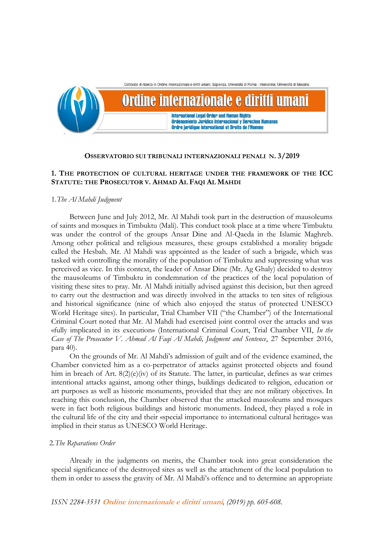

#### **OSSERVATORIO SUI TRIBUNALI INTERNAZIONALI PENALI N. 3/2019**

# **1. THE PROTECTION OF CULTURAL HERITAGE UNDER THE FRAMEWORK OF THE ICC STATUTE: THE PROSECUTOR V. AHMAD AL FAQI AL MAHDI**

# 1.*The Al Mahdi Judgment*

Between June and July 2012, Mr. Al Mahdi took part in the destruction of mausoleums of saints and mosques in Timbuktu (Mali). This conduct took place at a time where Timbuktu was under the control of the groups Ansar Dine and Al-Qaeda in the Islamic Maghreb. Among other political and religious measures, these groups established a morality brigade called the Hesbah. Mr. Al Mahdi was appointed as the leader of such a brigade, which was tasked with controlling the morality of the population of Timbuktu and suppressing what was perceived as vice. In this context, the leader of Ansar Dine (Mr. Ag Ghaly) decided to destroy the mausoleums of Timbuktu in condemnation of the practices of the local population of visiting these sites to pray. Mr. Al Mahdi initially advised against this decision, but then agreed to carry out the destruction and was directly involved in the attacks to ten sites of religious and historical significance (nine of which also enjoyed the status of protected UNESCO World Heritage sites). In particular, Trial Chamber VII ("the Chamber") of the International Criminal Court noted that Mr. Al Mahdi had exercised joint control over the attacks and was «fully implicated in its execution» (International Criminal Court, Trial Chamber VII, *In the Case of The Prosecutor V. Ahmad Al Faqi Al Mahdi, Judgment and Sentence*, 27 September 2016, para 40).

On the grounds of Mr. Al Mahdi's admission of guilt and of the evidence examined, the Chamber convicted him as a co-perpetrator of attacks against protected objects and found him in breach of Art.  $8(2)(e)(iv)$  of its Statute. The latter, in particular, defines as war crimes intentional attacks against, among other things, buildings dedicated to religion, education or art purposes as well as historic monuments, provided that they are not military objectives. In reaching this conclusion, the Chamber observed that the attacked mausoleums and mosques were in fact both religious buildings and historic monuments. Indeed, they played a role in the cultural life of the city and their «special importance to international cultural heritage» was implied in their status as UNESCO World Heritage.

### 2.*The Reparations Order*

Already in the judgments on merits, the Chamber took into great consideration the special significance of the destroyed sites as well as the attachment of the local population to them in order to assess the gravity of Mr. Al Mahdi's offence and to determine an appropriate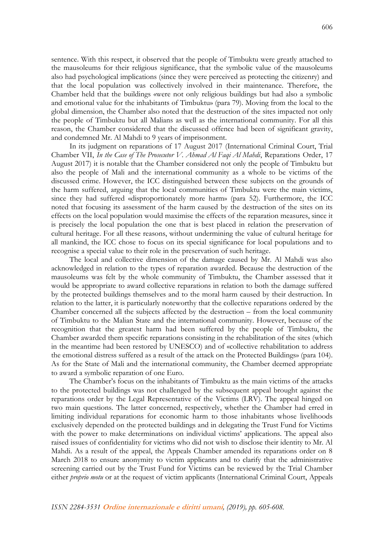sentence. With this respect, it observed that the people of Timbuktu were greatly attached to the mausoleums for their religious significance, that the symbolic value of the mausoleums also had psychological implications (since they were perceived as protecting the citizenry) and that the local population was collectively involved in their maintenance. Therefore, the Chamber held that the buildings «were not only religious buildings but had also a symbolic and emotional value for the inhabitants of Timbuktu» (para 79). Moving from the local to the global dimension, the Chamber also noted that the destruction of the sites impacted not only the people of Timbuktu but all Malians as well as the international community. For all this reason, the Chamber considered that the discussed offence had been of significant gravity, and condemned Mr. Al Mahdi to 9 years of imprisonment.

In its judgment on reparations of 17 August 2017 (International Criminal Court, Trial Chamber VII, *In the Case of The Prosecutor V. Ahmad Al Faqi Al Mahdi*, Reparations Order, 17 August 2017) it is notable that the Chamber considered not only the people of Timbuktu but also the people of Mali and the international community as a whole to be victims of the discussed crime. However, the ICC distinguished between these subjects on the grounds of the harm suffered, arguing that the local communities of Timbuktu were the main victims, since they had suffered «disproportionately more harm» (para 52). Furthermore, the ICC noted that focusing its assessment of the harm caused by the destruction of the sites on its effects on the local population would maximise the effects of the reparation measures, since it is precisely the local population the one that is best placed in relation the preservation of cultural heritage. For all these reasons, without undermining the value of cultural heritage for all mankind, the ICC chose to focus on its special significance for local populations and to recognise a special value to their role in the preservation of such heritage.

The local and collective dimension of the damage caused by Mr. Al Mahdi was also acknowledged in relation to the types of reparation awarded. Because the destruction of the mausoleums was felt by the whole community of Timbuktu, the Chamber assessed that it would be appropriate to award collective reparations in relation to both the damage suffered by the protected buildings themselves and to the moral harm caused by their destruction. In relation to the latter, it is particularly noteworthy that the collective reparations ordered by the Chamber concerned all the subjects affected by the destruction – from the local community of Timbuktu to the Malian State and the international community. However, because of the recognition that the greatest harm had been suffered by the people of Timbuktu, the Chamber awarded them specific reparations consisting in the rehabilitation of the sites (which in the meantime had been restored by UNESCO) and of «collective rehabilitation to address the emotional distress suffered as a result of the attack on the Protected Buildings» (para 104). As for the State of Mali and the international community, the Chamber deemed appropriate to award a symbolic reparation of one Euro.

The Chamber's focus on the inhabitants of Timbuktu as the main victims of the attacks to the protected buildings was not challenged by the subsequent appeal brought against the reparations order by the Legal Representative of the Victims (LRV). The appeal hinged on two main questions. The latter concerned, respectively, whether the Chamber had erred in limiting individual reparations for economic harm to those inhabitants whose livelihoods exclusively depended on the protected buildings and in delegating the Trust Fund for Victims with the power to make determinations on individual victims' applications. The appeal also raised issues of confidentiality for victims who did not wish to disclose their identity to Mr. Al Mahdi. As a result of the appeal, the Appeals Chamber amended its reparations order on 8 March 2018 to ensure anonymity to victim applicants and to clarify that the administrative screening carried out by the Trust Fund for Victims can be reviewed by the Trial Chamber either *proprio motu* or at the request of victim applicants (International Criminal Court, Appeals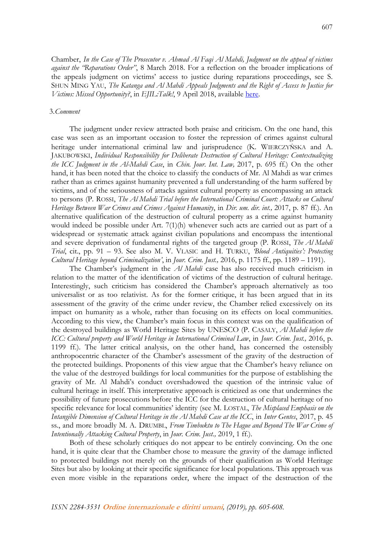Chamber, *In the Case of The Prosecutor v. Ahmad Al Faqi Al Mahdi, Judgment on the appeal of victims against the "Reparations Order"*, 8 March 2018. For a reflection on the broader implications of the appeals judgment on victims' access to justice during reparations proceedings, see S. SHUN MING YAU, *The Katanga and Al Mahdi Appeals Judgments and the Right of Access to Justice for Victims: Missed Opportunity?*, in *EJIL:Talk!*, 9 April 2018, available [here.](https://www.ejiltalk.org/the-katanga-and-al-mahdi-appeals-judgments-and-the-right-of-access-to-justice-for-victims-missed-opportunity/)

#### 3.*Comment*

The judgment under review attracted both praise and criticism. On the one hand, this case was seen as an important occasion to foster the repression of crimes against cultural heritage under international criminal law and jurisprudence (K. WIERCZYŃSKA and A. JAKUBOWSKI, *Individual Responsibility for Deliberate Destruction of Cultural Heritage: Contextualizing the ICC Judgment in the Al-Mahdi Case*, in *Chin. Jour. Int. Law,* 2017, p. 695 ff.) On the other hand, it has been noted that the choice to classify the conducts of Mr. Al Mahdi as war crimes rather than as crimes against humanity prevented a full understanding of the harm suffered by victims, and of the seriousness of attacks against cultural property as encompassing an attack to persons (P. ROSSI, *The Al Mahdi Trial before the International Criminal Court: Attacks on Cultural Heritage Between War Crimes and Crimes Against Humanity*, in *Dir. um. dir. int.,* 2017, p. 87 ff.). An alternative qualification of the destruction of cultural property as a crime against humanity would indeed be possible under Art.  $7(1)(h)$  whenever such acts are carried out as part of a widespread or systematic attack against civilian populations and encompass the intentional and severe deprivation of fundamental rights of the targeted group (P. ROSSI, *The Al Mahdi Trial*, cit., pp. 91 – 93. See also M. V. VLASIC and H. TURKU, *'Blood Antiquities': Protecting Cultural Heritage beyond Criminalization'*, in *Jour. Crim. Just.,* 2016, p. 1175 ff., pp. 1189 – 1191).

The Chamber's judgment in the *Al Mahdi* case has also received much criticism in relation to the matter of the identification of victims of the destruction of cultural heritage. Interestingly, such criticism has considered the Chamber's approach alternatively as too universalist or as too relativist. As for the former critique, it has been argued that in its assessment of the gravity of the crime under review, the Chamber relied excessively on its impact on humanity as a whole, rather than focusing on its effects on local communities. According to this view, the Chamber's main focus in this context was on the qualification of the destroyed buildings as World Heritage Sites by UNESCO (P. CASALY, *Al Mahdi before the ICC: Cultural property and World Heritage in International Criminal Law*, in *Jour. Crim. Just.,* 2016, p. 1199 ff.). The latter critical analysis, on the other hand, has concerned the ostensibly anthropocentric character of the Chamber's assessment of the gravity of the destruction of the protected buildings. Proponents of this view argue that the Chamber's heavy reliance on the value of the destroyed buildings for local communities for the purpose of establishing the gravity of Mr. Al Mahdi's conduct overshadowed the question of the intrinsic value of cultural heritage in itself. This interpretative approach is criticized as one that undermines the possibility of future prosecutions before the ICC for the destruction of cultural heritage of no specific relevance for local communities' identity (see M. LOSTAL, *The Misplaced Emphasis on the Intangible Dimension of Cultural Heritage in the Al Mahdi Case at the ICC*, in *Inter Gentes*, 2017, p. 45 ss., and more broadly M. A. DRUMBL, *From Timbuktu to The Hague and Beyond The War Crime of Intentionally Attacking Cultural Property*, in *Jour. Crim. Just.,* 2019, 1 ff.).

Both of these scholarly critiques do not appear to be entirely convincing. On the one hand, it is quite clear that the Chamber chose to measure the gravity of the damage inflicted to protected buildings not merely on the grounds of their qualification as World Heritage Sites but also by looking at their specific significance for local populations. This approach was even more visible in the reparations order, where the impact of the destruction of the